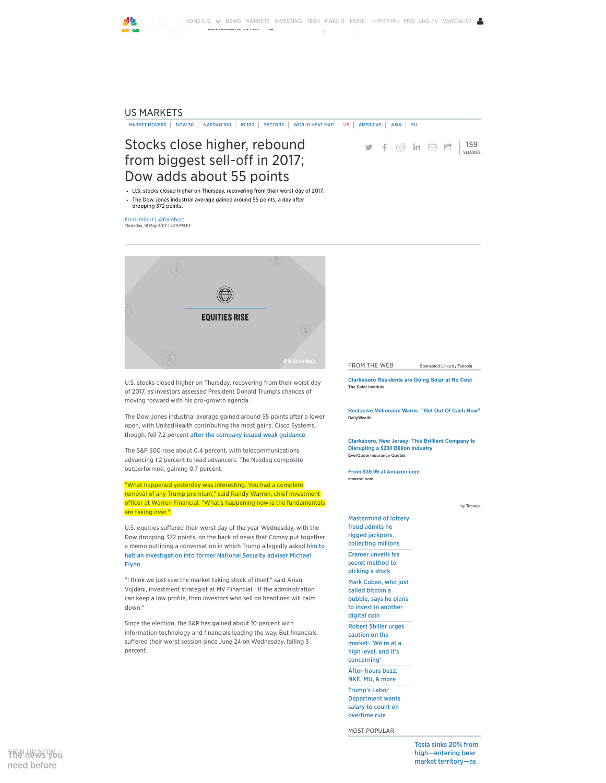

### US [MARKETS](http://www.cnbc.com/us-markets/)

MARKET [MOVERS](http://www.cnbc.com/us-market-movers/) | [DOW](http://www.cnbc.com/dow-components/) 30 | [NASDAQ](http://www.cnbc.com/nasdaq-100/) [100](http://www.cnbc.com/iq-100-real-time-quotes/) | IQ 100 | [SECTORS](http://www.cnbc.com/sectors/) | [WORLD](http://www.cnbc.com/world-markets-heat-map/) HEAT MAP | [US](http://www.cnbc.com/us-markets/) | [AMERICAS](http://www.cnbc.com/markets-americas/) | [ASIA](http://www.cnbc.com/markets-asia-pacific/) | [EU](http://www.cnbc.com/markets-europe/)

# Stocks close higher, rebound from biggest sell-off in 2017; Dow adds about 55 points

U.S. stocks closed higher on Thursday, recovering from their worst day of 2017.

The Dow Jones industrial average gained around 55 points, a day after dropping 372 points.

Fred [Imbert](http://www.cnbc.com/fred-imbert/) | [@foimbert](http://twitter.com/foimbert) Thursday, 18 May 2017 | 4:19 PM ET



U.S. stocks closed higher on Thursday, recovering from their worst day of 2017, as investors assessed President Donald Trump's chances of moving forward with his pro-growth agenda.

The Dow Jones industrial average gained around 55 points after a lower open, with UnitedHealth contributing the most gains. Cisco Systems, though, fell 7.2 percent after the [company](http://www.cnbc.com/2017/05/17/cisco-earnings-layoffs-job-cuts-announced-guidance-below-estimates.html) issued weak guidance.

The S&P 500 rose about 0.4 percent, with telecommunications advancing 1.2 percent to lead advancers. The Nasdaq composite outperformed, gaining 0.7 percent.

"What happened yesterday was interesting. You had a complete removal of any Trump premium," said Randy Warren, chief investment officer at Warren Financial. "What's happening now is the fundamentals are taking over."

U.S. equities suffered their worst day of the year Wednesday, with the Dow dropping 372 points, on the back of news that Comey put together a memo outlining a conversation in which Trump allegedly asked him to halt an [investigation](http://www.cnbc.com/2017/05/16/comey-memo-says-trump-asked-him-to-shut-down-flynn-probe-nyt.html) into former National Security adviser Michael Flynn.

"I think we just saw the market taking stock of itself," said Arian Vojdani, investment strategist at MV Financial. "If the administration can keep a low profile, then investors who sell on headlines will calm down."

Since the election, the S&P has gained about 10 percent with information technology and financials leading the way. But financials suffered their worst session since June 24 on Wednesday, falling 3 percent.

**159 f**  $\odot$  in  $\odot$  **c**  $\begin{array}{|c|c|c|c|}\n\hline\n\text{SHARES}\n\hline\n\end{array}$ 

FROM THE WEB [Sponsored](http://popup.taboola.com/en/?template=colorbox&utm_source=cnbc&utm_medium=referral&utm_content=thumbnails-b:Right%20Rail%20Thumbnails:) Links by Tabo

The Solar Institute [Clarksboro](http://track.cmsftrax.com/2b70e409-8d2d-4614-aa13-f0c8b8cc20a6?&s1=b_nj_wl&s2=cnbc_http%3A%2F%2Fcdn.taboolasyndication.com%2Flibtrc%2Fstatic%2Fthumbnails%2Faf057cc4bc60134c8f3d47d11b28a9aa.jpg) Residents are Going Solar at No Cost

DailyWealth Reclusive [Millionaire](http://dailywealth.co/reclusive.html?cid=MKT328877&eid=MKT330032&utm_source=taboola&utm_medium=referral&utm_term=cnbc&creative=http%3A%2F%2Fcdn.taboolasyndication.com%2Flibtrc%2Fstatic%2Fthumbnails%2F0fb01e5c35383a916f25415b2f94ccac.jpg&headline=Reclusive+Millionaire+Warns%3A+%22Get+Out+Of+Cash+Now%22) Warns: "Get Out Of Cash Now"

EverQuote Insurance Quotes [Clarksboro,](https://article.everquote.com/?h1=startup&h2=brilliant_company&auuid=c72a9f1f-a818-42be-b19c-2a153a3f3b16&&tid=584&id=584&subid=9999&dt=dup&utm_medium=cnbc&utm_thumbnail=https%3A%2F%2Fstatic.evq1.com%2Fb04c0f39-a9ea-45d9-93b6-5eb9be7bb138.png) New Jersey: This Brilliant Company Is Disrupting a \$200 Billion Industry

amazon.com From \$39.99 at [Amazon.com](http://aax-us-east.amazon-adsystem.com/x/c/QttVgSnx-rHMMSvN2Dm9E6MAAAFdGT3Z8gEAAAeHAanNZYk/http://www.amazon.com/dp/B00E8FQ0DY/ref=dra_a_rv_nm_na_xx_P1927_1000?tag=dradisplay-20&ascsubtag=c6d2e6494dbc6bd7637bd00315a23b0a_S)

by [Taboola](http://popup.taboola.com/en/?template=colorbox&utm_source=cnbc&utm_medium=referral&utm_content=organic-text-links-b:Right%20Rail%20Text%20Links:)

[Mastermind](http://www.cnbc.com/2017/06/30/mastermind-of-lottery-fraud-admits-he-rigged-jackpots.html) of lottery fraud admits he rigged jackpots, collecting millions Cramer unveils his secret [method](http://www.cnbc.com/2017/06/29/cramer-unveils-his-secret-method-to-picking-a-stock.html) to picking a stock Mark Cuban, who just called bitcoin a bubble, says he plans to invest in [another](http://www.cnbc.com/2017/06/29/mark-cuban-who-just-called-bitcoin-a-bubble-says-he-plans-to-invest-in-another-digital-coin.html) digital coin Robert Shiller urges caution on the market: 'We're at a high level, and it's [concerning'](http://www.cnbc.com/2017/06/29/economist-robert-shiller-urges-caution-on-market-of-unusual-highs.html) [After-hours](http://www.cnbc.com/2017/06/29/after-hours-buzz-nke-mu-more.html) buzz: NKE, MU, & more Trump's Labor [Department](http://www.cnbc.com/2017/06/30/trumps-labor-department-wants-salary-to-count-on-overtime-rule.html) wants salary to count on overtime rule

MOST POPULAR

Tesla sinks 20% from [high—entering](http://www.cnbc.com/2017/07/06/tesla-shares-plunge-12-percent-this-week-on-disappointing-deliveries.html) bear market territory—as

ቸ<del>h</del>@hewsybu need [before](javascript:void(0))

 $\times$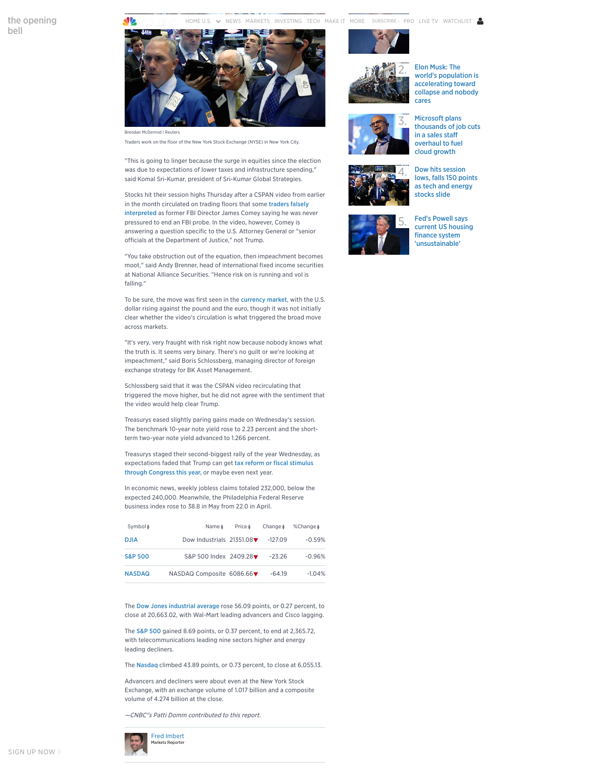the [opening](javascript:void(0)) bell

[HOME](http://www.cnbc.com/) U.S.  $\sim$  [NEWS](http://www.cnbc.com/us-news/) [MARKETS](http://www.cnbc.com/markets/) [INVESTING](http://www.cnbc.com/investing/) [TECH](http://www.cnbc.com/technology/) [MAKE](http://www.cnbc.com/make-it/) IT [MORE](javascript:void(0)) SUBSCRIBE › [PRO](http://www.cnbc.com/pro) LIVE TV [WATCHLIST](http://watchlist.cnbc.com/) 'bubble stock' mount



Traders work on the floor of the New York Stock Exchange (NYSE) in New York City.

"This is going to linger because the surge in equities since the election was due to expectations of lower taxes and infrastructure spending," said Komal Sri-Kumar, president of Sri-Kumar Global Strategies.

Stocks hit their session highs Thursday after a CSPAN video from earlier in the month circulated on trading floors that some traders falsely [interpreted](http://www.cnbc.com/2017/05/18/traders-misinterpret-a-comey-video-that-they-think-clears-trump.html) as former FBI Director James Comey saying he was never pressured to end an FBI probe. In the video, however, Comey is answering a question specific to the U.S. Attorney General or "senior officials at the Department of Justice," not Trump.

"You take obstruction out of the equation, then impeachment becomes moot," said Andy Brenner, head of international fixed income securities at National Alliance Securities. "Hence risk on is running and vol is falling."

To be sure, the move was first seen in the [currency](http://www.cnbc.com/2017/05/18/sudden-drop-in-the-british-pound-vs-dollar-sends-currency-markets-reeling.html) market, with the U.S. dollar rising against the pound and the euro, though it was not initially clear whether the video's circulation is what triggered the broad move across markets.

"It's very, very fraught with risk right now because nobody knows what the truth is. It seems very binary. There's no guilt or we're looking at impeachment," said Boris Schlossberg, managing director of foreign exchange strategy for BK Asset Management.

Schlossberg said that it was the CSPAN video recirculating that triggered the move higher, but he did not agree with the sentiment that the video would help clear Trump.

Treasurys eased slightly paring gains made on Wednesday's session. The benchmark 10-year note yield rose to 2.23 percent and the shortterm two-year note yield advanced to 1.266 percent.

Treasurys staged their second-biggest rally of the year Wednesday, as [expectations](http://www.cnbc.com/2017/05/17/bond-market-is-spooked-by-slow-growth-and-possible-failure-of-the-gop-agenda.html) faded that Trump can get tax reform or fiscal stimulus through Congress this year, or maybe even next year.

In economic news, weekly jobless claims totaled 232,000, below the expected 240,000. Meanwhile, the Philadelphia Federal Reserve business index rose to 38.8 in May from 22.0 in April.

| Symbol \$          | Name $\frac{4}{7}$        | Price $\frac{1}{2}$ | Change $\frac{4}{3}$ | %Change ♦ |
|--------------------|---------------------------|---------------------|----------------------|-----------|
| <b>DJIA</b>        | Dow Industrials 21351.08▼ |                     | $-127.09$            | $-0.59%$  |
| <b>S&amp;P 500</b> | S&P 500 Index 2409.28▼    |                     | $-2326$              | $-0.96%$  |
| <b>NASDAQ</b>      | NASDAQ Composite 6086.66▼ |                     | $-64.19$             | $-1.04%$  |

The Dow Jones [industrial](http://cnbc.com/quotes?symbol=.DJI) average rose 56.09 points, or 0.27 percent, to close at 20,663.02, with Wal-Mart leading advancers and Cisco lagging.

The S&P [500](http://cnbc.com/quotes?symbol=.SPX) gained 8.69 points, or 0.37 percent, to end at 2,365.72, with telecommunications leading nine sectors higher and energy leading decliners.

The [Nasdaq](http://cnbc.com/quotes?symbol=.IXIC) climbed 43.89 points, or 0.73 percent, to close at 6,055.13.

Advancers and decliners were about even at the New York Stock Exchange, with an exchange volume of 1.017 billion and a composite volume of 4.274 billion at the close.

—CNBC"s Patti Domm contributed to this report.







2. Elon Musk: The world's population is [accelerating](http://www.cnbc.com/2017/07/06/elon-musk-the-worlds-population-is-accelerating-toward-collapse-and-nobody-cares.html) toward collapse and nobody cares

Microsoft plans [thousands](http://www.cnbc.com/2017/07/06/microsoft-will-layoff-thousands-of-employees.html) of job cuts in a sales staff overhaul to fuel cloud growth





Dow hits [session](http://www.cnbc.com/2017/07/06/us-stocks-yields-rise-tech.html) lows, falls 150 points as tech and energy stocks slide



5. Fed's Powell says current US housing finance system ['unsustainable'](http://www.cnbc.com/2017/07/06/feds-powell-says-current-us-housing-finance-system-unsustainable.html)